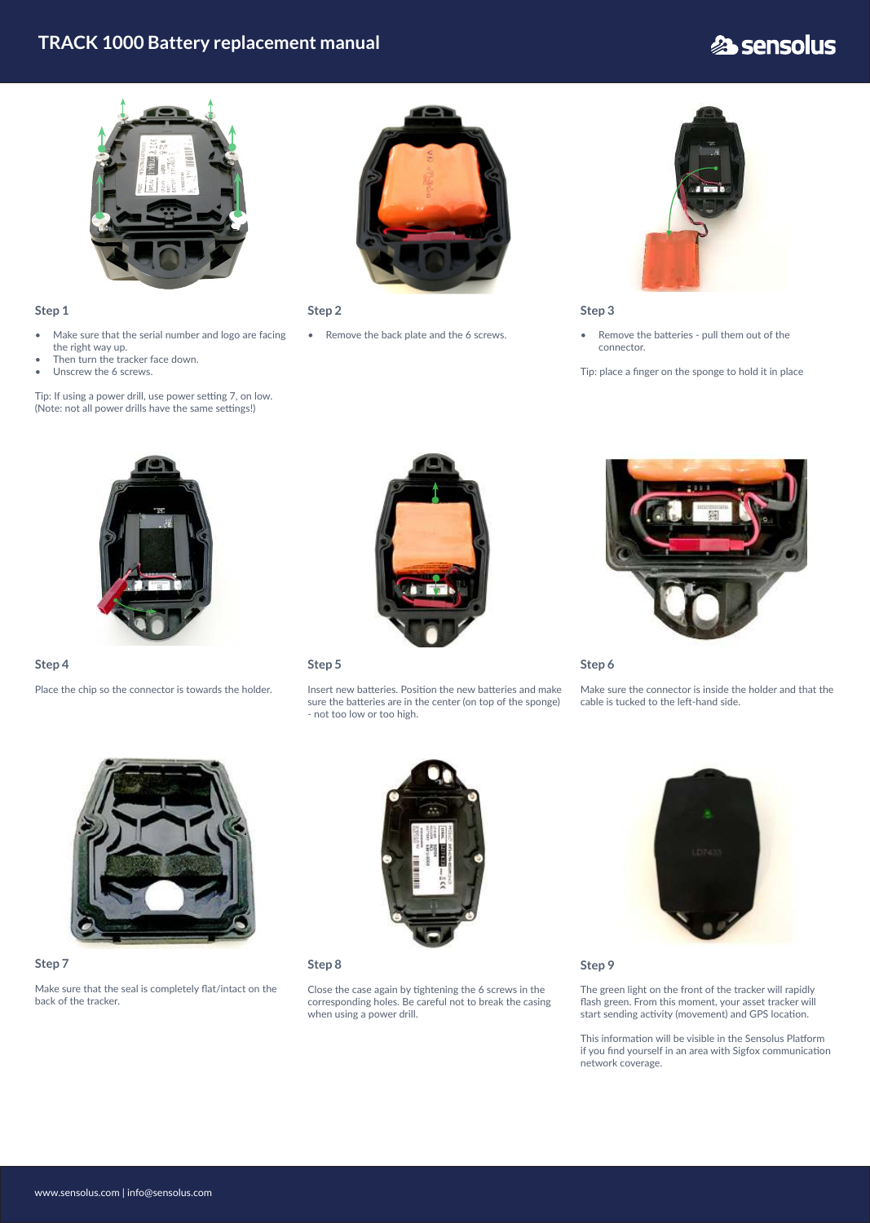## **TRACK 1000 Battery replacement manual**

# **2** sensolus



#### **Step 1**

- Make sure that the serial number and logo are facing the right way up.
- Then turn the tracker face down.
- Unscrew the 6 screws.

Tip: If using a power drill, use power setting 7, on low. (Note: not all power drills have the same settings!)



**Step 2**

• Remove the back plate and the 6 screws.



#### **Step 3**

• Remove the batteries - pull them out of the connector.

Tip: place a finger on the sponge to hold it in place



#### **Step 4**

Place the chip so the connector is towards the holder.



**Step 5**

Insert new batteries. Position the new batteries and make sure the batteries are in the center (on top of the sponge) - not too low or too high.



#### **Step 7**

Make sure that the seal is completely flat/intact on the back of the tracker.



### **Step 8**

Close the case again by tightening the 6 screws in the corresponding holes. Be careful not to break the casing when using a power drill.



#### **Step 9**

The green light on the front of the tracker will rapidly flash green. From this moment, your asset tracker will start sending activity (movement) and GPS location.

This information will be visible in the Sensolus Platform if you find yourself in an area with Sigfox communication network coverage.

#### **Step 6**

Make sure the connector is inside the holder and that the cable is tucked to the left-hand side.